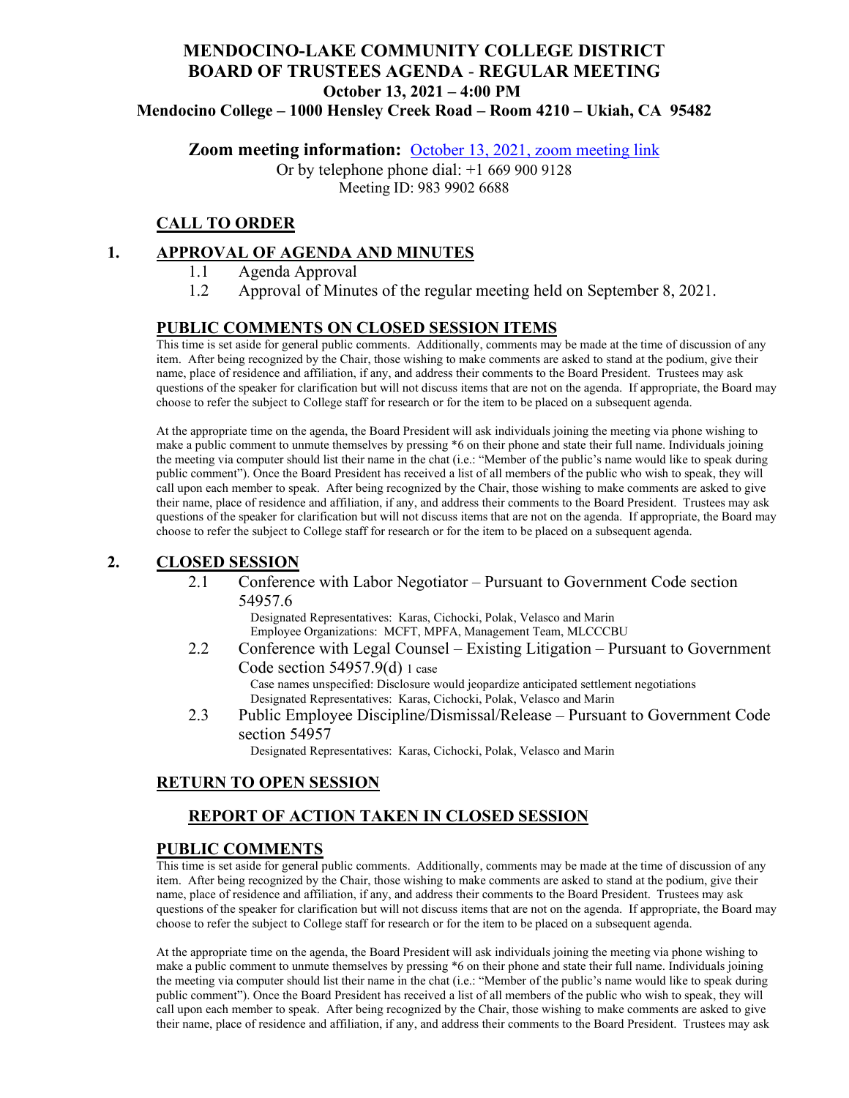# **MENDOCINO-LAKE COMMUNITY COLLEGE DISTRICT BOARD OF TRUSTEES AGENDA** - **REGULAR MEETING October 13, 2021 – 4:00 PM**

**Mendocino College – 1000 Hensley Creek Road – Room 4210 – Ukiah, CA 95482**

**Zoom meeting information:** October 13, 2021, [zoom meeting link](https://mendocino-edu.zoom.us/j/98399026688)

Or by telephone phone dial: +1 669 900 9128 Meeting ID: 983 9902 6688

## **CALL TO ORDER**

### **1. APPROVAL OF AGENDA AND MINUTES**

- 1.1 Agenda Approval
- 1.2 Approval of Minutes of the regular meeting held on September 8, 2021.

#### **PUBLIC COMMENTS ON CLOSED SESSION ITEMS**

This time is set aside for general public comments. Additionally, comments may be made at the time of discussion of any item. After being recognized by the Chair, those wishing to make comments are asked to stand at the podium, give their name, place of residence and affiliation, if any, and address their comments to the Board President. Trustees may ask questions of the speaker for clarification but will not discuss items that are not on the agenda. If appropriate, the Board may choose to refer the subject to College staff for research or for the item to be placed on a subsequent agenda.

At the appropriate time on the agenda, the Board President will ask individuals joining the meeting via phone wishing to make a public comment to unmute themselves by pressing \*6 on their phone and state their full name. Individuals joining the meeting via computer should list their name in the chat (i.e.: "Member of the public's name would like to speak during public comment"). Once the Board President has received a list of all members of the public who wish to speak, they will call upon each member to speak. After being recognized by the Chair, those wishing to make comments are asked to give their name, place of residence and affiliation, if any, and address their comments to the Board President. Trustees may ask questions of the speaker for clarification but will not discuss items that are not on the agenda. If appropriate, the Board may choose to refer the subject to College staff for research or for the item to be placed on a subsequent agenda.

## **2. CLOSED SESSION**

2.1 Conference with Labor Negotiator – Pursuant to Government Code section 54957.6

> Designated Representatives: Karas, Cichocki, Polak, Velasco and Marin Employee Organizations: MCFT, MPFA, Management Team, MLCCCBU

- 2.2 Conference with Legal Counsel Existing Litigation Pursuant to Government Code section 54957.9(d) 1 case Case names unspecified: Disclosure would jeopardize anticipated settlement negotiations Designated Representatives: Karas, Cichocki, Polak, Velasco and Marin
- 2.3 Public Employee Discipline/Dismissal/Release Pursuant to Government Code section 54957

Designated Representatives: Karas, Cichocki, Polak, Velasco and Marin

#### **RETURN TO OPEN SESSION**

## **REPORT OF ACTION TAKEN IN CLOSED SESSION**

#### **PUBLIC COMMENTS**

This time is set aside for general public comments. Additionally, comments may be made at the time of discussion of any item. After being recognized by the Chair, those wishing to make comments are asked to stand at the podium, give their name, place of residence and affiliation, if any, and address their comments to the Board President. Trustees may ask questions of the speaker for clarification but will not discuss items that are not on the agenda. If appropriate, the Board may choose to refer the subject to College staff for research or for the item to be placed on a subsequent agenda.

At the appropriate time on the agenda, the Board President will ask individuals joining the meeting via phone wishing to make a public comment to unmute themselves by pressing \*6 on their phone and state their full name. Individuals joining the meeting via computer should list their name in the chat (i.e.: "Member of the public's name would like to speak during public comment"). Once the Board President has received a list of all members of the public who wish to speak, they will call upon each member to speak. After being recognized by the Chair, those wishing to make comments are asked to give their name, place of residence and affiliation, if any, and address their comments to the Board President. Trustees may ask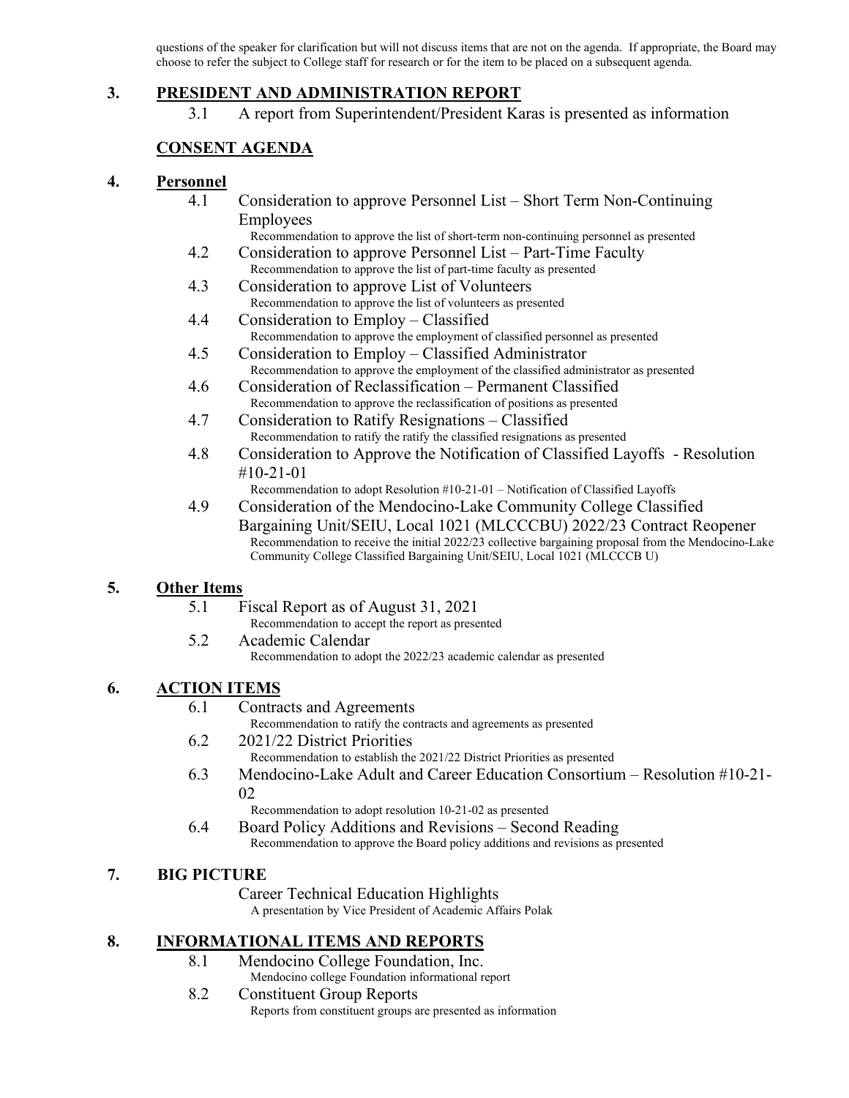questions of the speaker for clarification but will not discuss items that are not on the agenda. If appropriate, the Board may choose to refer the subject to College staff for research or for the item to be placed on a subsequent agenda.

#### **3. PRESIDENT AND ADMINISTRATION REPORT**

3.1 A report from Superintendent/President Karas is presented as information

## **CONSENT AGENDA**

#### **4. Personnel**

- 4.1 Consideration to approve Personnel List Short Term Non-Continuing Employees
	- Recommendation to approve the list of short-term non-continuing personnel as presented
- 4.2 Consideration to approve Personnel List Part-Time Faculty Recommendation to approve the list of part-time faculty as presented
- 4.3 Consideration to approve List of Volunteers Recommendation to approve the list of volunteers as presented
- 4.4 Consideration to Employ Classified Recommendation to approve the employment of classified personnel as presented
- 4.5 Consideration to Employ Classified Administrator Recommendation to approve the employment of the classified administrator as presented
- 4.6 Consideration of Reclassification Permanent Classified Recommendation to approve the reclassification of positions as presented
- 4.7 Consideration to Ratify Resignations Classified Recommendation to ratify the ratify the classified resignations as presented
- 4.8 Consideration to Approve the Notification of Classified Layoffs Resolution #10-21-01

Recommendation to adopt Resolution #10-21-01 – Notification of Classified Layoffs

4.9 Consideration of the Mendocino-Lake Community College Classified Bargaining Unit/SEIU, Local 1021 (MLCCCBU) 2022/23 Contract Reopener Recommendation to receive the initial 2022/23 collective bargaining proposal from the Mendocino-Lake Community College Classified Bargaining Unit/SEIU, Local 1021 (MLCCCB U)

## **5. Other Items**

- 5.1 Fiscal Report as of August 31, 2021
	- Recommendation to accept the report as presented
- 5.2 Academic Calendar Recommendation to adopt the 2022/23 academic calendar as presented

## **6. ACTION ITEMS**

#### 6.1 Contracts and Agreements

Recommendation to ratify the contracts and agreements as presented

6.2 2021/22 District Priorities

Recommendation to establish the 2021/22 District Priorities as presented

6.3 Mendocino-Lake Adult and Career Education Consortium – Resolution #10-21- 02

Recommendation to adopt resolution 10-21-02 as presented

6.4 Board Policy Additions and Revisions – Second Reading Recommendation to approve the Board policy additions and revisions as presented

## **7. BIG PICTURE**

Career Technical Education Highlights A presentation by Vice President of Academic Affairs Polak

## **8. INFORMATIONAL ITEMS AND REPORTS**

- 8.1 Mendocino College Foundation, Inc.
	- Mendocino college Foundation informational report
- 8.2 Constituent Group Reports Reports from constituent groups are presented as information